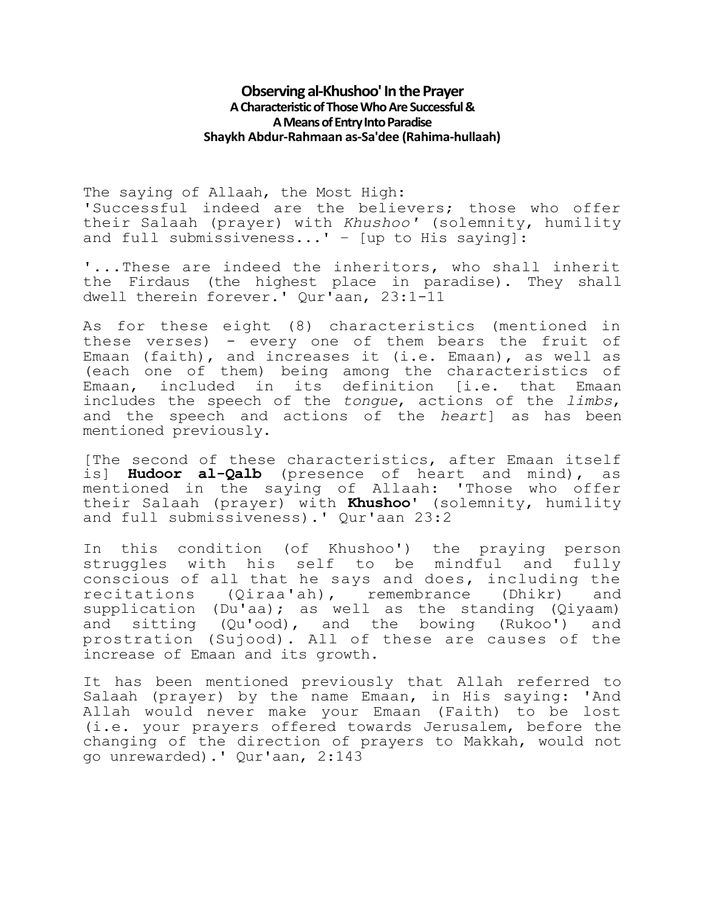## **Observing al-Khushoo' In the Prayer A Characteristic of Those Who Are Successful& A Means of Entry Into Paradise Shaykh Abdur-Rahmaan as-Sa'dee (Rahima-hullaah)**

The saying of Allaah, the Most High: 'Successful indeed are the believers; those who offer their Salaah (prayer) with *Khushoo'* (solemnity, humility and full submissiveness...' - [up to His saying]:

'...These are indeed the inheritors, who shall inherit the Firdaus (the highest place in paradise). They shall dwell therein forever.' Qur'aan, 23:1-11

As for these eight (8) characteristics (mentioned in these verses) - every one of them bears the fruit of Emaan (faith), and increases it (i.e. Emaan), as well as (each one of them) being among the characteristics of Emaan, included in its definition [i.e. that Emaan includes the speech of the *tongue*, actions of the *limbs*, and the speech and actions of the *heart*] as has been mentioned previously.

[The second of these characteristics, after Emaan itself is] **Hudoor al-Qalb** (presence of heart and mind), as mentioned in the saying of Allaah: 'Those who offer their Salaah (prayer) with **Khushoo'** (solemnity, humility and full submissiveness).' Qur'aan 23:2

In this condition (of Khushoo') the praying person struggles with his self to be mindful and fully conscious of all that he says and does, including the recitations (Qiraa'ah), remembrance (Dhikr) and supplication (Du'aa); as well as the standing (Qiyaam) and sitting (Qu'ood), and the bowing (Rukoo') and prostration (Sujood). All of these are causes of the increase of Emaan and its growth.

It has been mentioned previously that Allah referred to Salaah (prayer) by the name Emaan, in His saying: 'And Allah would never make your Emaan (Faith) to be lost (i.e. your prayers offered towards Jerusalem, before the changing of the direction of prayers to Makkah, would not go unrewarded).' Qur'aan, 2:143